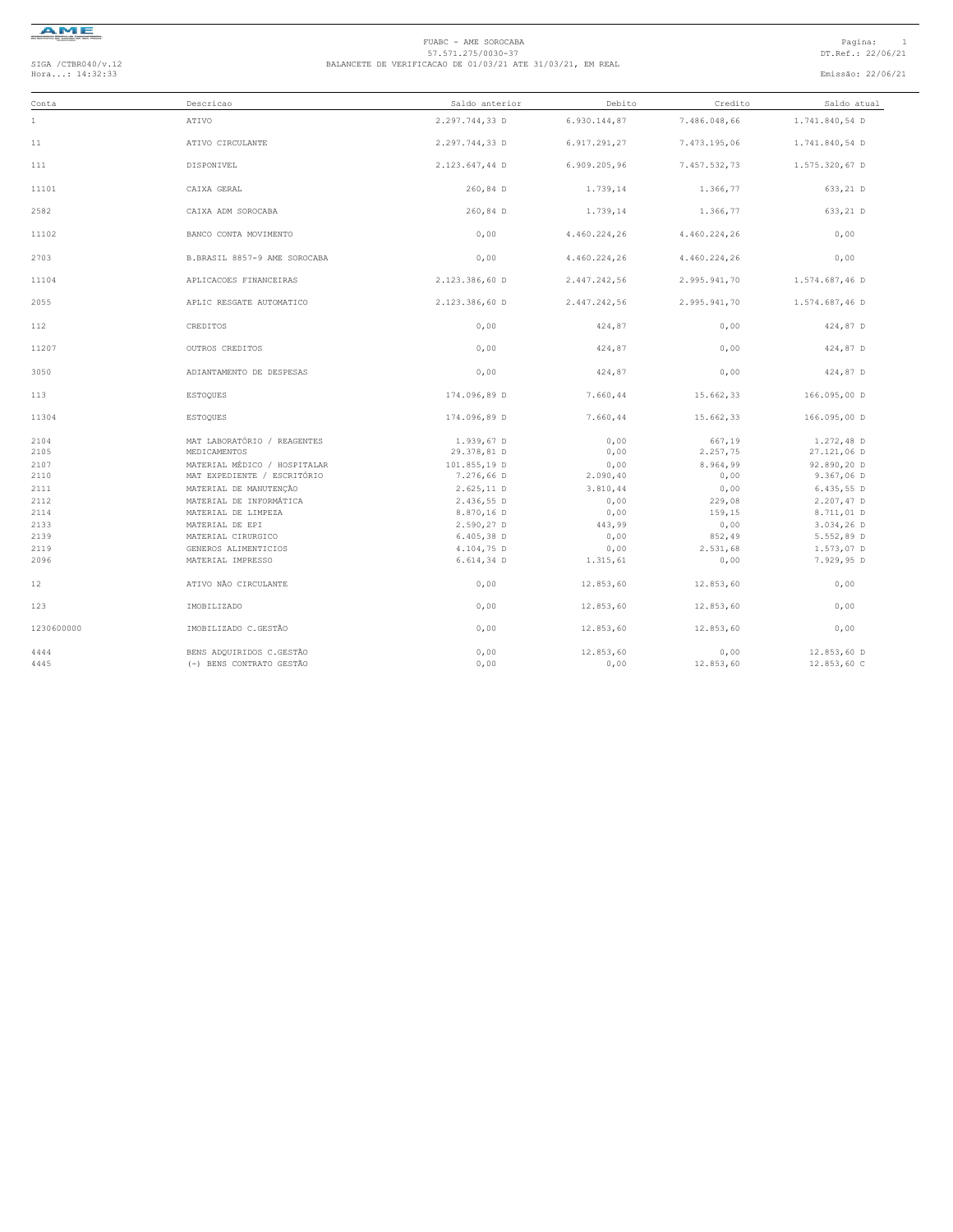

#### FUABC - AME SOROCABA<br>57.571.275/0030-37<br>Hora...: 14:32:33 DT.Ref.: 22/06/21 BALANCETE DE VERIFICACAO DE 01/03/21 ATE 31/03/21, EM REAL<br>Hora...: 14:32:33 Emissão: 22/06/21

| Conta        | Descricao                                   | Saldo anterior            | Debito       | Credito            | Saldo atual               |
|--------------|---------------------------------------------|---------------------------|--------------|--------------------|---------------------------|
| $\mathbf{1}$ | ATIVO                                       | 2.297.744,33 D            | 6.930.144,87 | 7.486.048,66       | 1.741.840,54 D            |
| 11           | ATIVO CIRCULANTE                            | 2.297.744,33 D            | 6.917.291,27 | 7.473.195,06       | 1.741.840,54 D            |
| 111          | DISPONIVEL                                  | 2.123.647,44 D            | 6.909.205,96 | 7.457.532,73       | 1.575.320,67 D            |
| 11101        | CAIXA GERAL                                 | 260,84 D                  | 1.739,14     | 1,366,77           | 633,21 D                  |
| 2582         | CAIXA ADM SOROCABA                          | 260,84 D                  | 1.739,14     | 1.366,77           | 633,21 D                  |
| 11102        | BANCO CONTA MOVIMENTO                       | 0,00                      | 4.460.224,26 | 4.460.224,26       | 0,00                      |
| 2703         | B.BRASIL 8857-9 AME SOROCABA                | 0,00                      | 4.460.224,26 | 4.460.224,26       | 0,00                      |
| 11104        | APLICACOES FINANCEIRAS                      | 2.123.386,60 D            | 2.447.242,56 | 2.995.941,70       | 1.574.687,46 D            |
| 2055         | APLIC RESGATE AUTOMATICO                    | 2.123.386,60 D            | 2.447.242,56 | 2.995.941,70       | 1.574.687,46 D            |
| 112          | CREDITOS                                    | 0,00                      | 424,87       | 0,00               | 424,87 D                  |
| 11207        | OUTROS CREDITOS                             | 0,00                      | 424,87       | 0,00               | 424,87 D                  |
| 3050         | ADIANTAMENTO DE DESPESAS                    | 0,00                      | 424,87       | 0,00               | 424,87 D                  |
| 113          | <b>ESTOQUES</b>                             | 174.096.89 D              | 7.660,44     | 15.662.33          | 166.095,00 D              |
| 11304        | <b>ESTOQUES</b>                             | 174.096,89 D              | 7.660,44     | 15.662,33          | 166.095,00 D              |
| 2104<br>2105 | MAT LABORATÓRIO / REAGENTES<br>MEDICAMENTOS | 1.939,67 D<br>29.378,81 D | 0,00<br>0,00 | 667,19<br>2.257,75 | 1.272,48 D<br>27.121,06 D |
| 2107         | MATERIAL MÉDICO / HOSPITALAR                | 101.855,19 D              | 0,00         | 8.964,99           | 92.890,20 D               |
| 2110         | MAT EXPEDIENTE / ESCRITÓRIO                 | 7.276,66 D                | 2.090,40     | 0,00               | 9.367,06 D                |
| 2111         | MATERIAL DE MANUTENÇÃO                      | 2.625,11 D                | 3.810,44     | 0,00               | 6.435,55D                 |
| 2112         | MATERIAL DE INFORMÁTICA                     | 2.436,55 D                | 0,00         | 229,08             | 2.207,47 D                |
| 2114         | MATERIAL DE LIMPEZA                         | 8.870,16 D                | 0,00         | 159,15             | 8.711,01 D                |
| 2133         | MATERIAL DE EPI                             | 2.590,27 D                | 443,99       | 0,00               | 3.034,26 D                |
| 2139         | MATERIAL CIRURGICO                          | $6.405,38$ D              | 0,00         | 852,49             | $5.552,89$ D              |
| 2119         | GENEROS ALIMENTICIOS                        | 4.104,75 D                | 0,00         | 2.531,68           | 1.573,07 D                |
| 2096         | MATERIAL IMPRESSO                           | $6.614, 34$ D             | 1.315,61     | 0,00               | 7.929,95 D                |
| 12           | ATIVO NÃO CIRCULANTE                        | 0.00                      | 12.853,60    | 12.853,60          | 0,00                      |
| 123          | IMOBILIZADO                                 | 0,00                      | 12.853,60    | 12.853,60          | 0,00                      |
| 1230600000   | IMOBILIZADO C.GESTÃO                        | 0,00                      | 12.853,60    | 12.853,60          | 0,00                      |
| 4444         | BENS ADQUIRIDOS C.GESTÃO                    | 0,00                      | 12.853,60    | 0,00               | 12.853,60 D               |
| 4445         | (-) BENS CONTRATO GESTÃO                    | 0,00                      | 0,00         | 12.853,60          | 12.853,60 C               |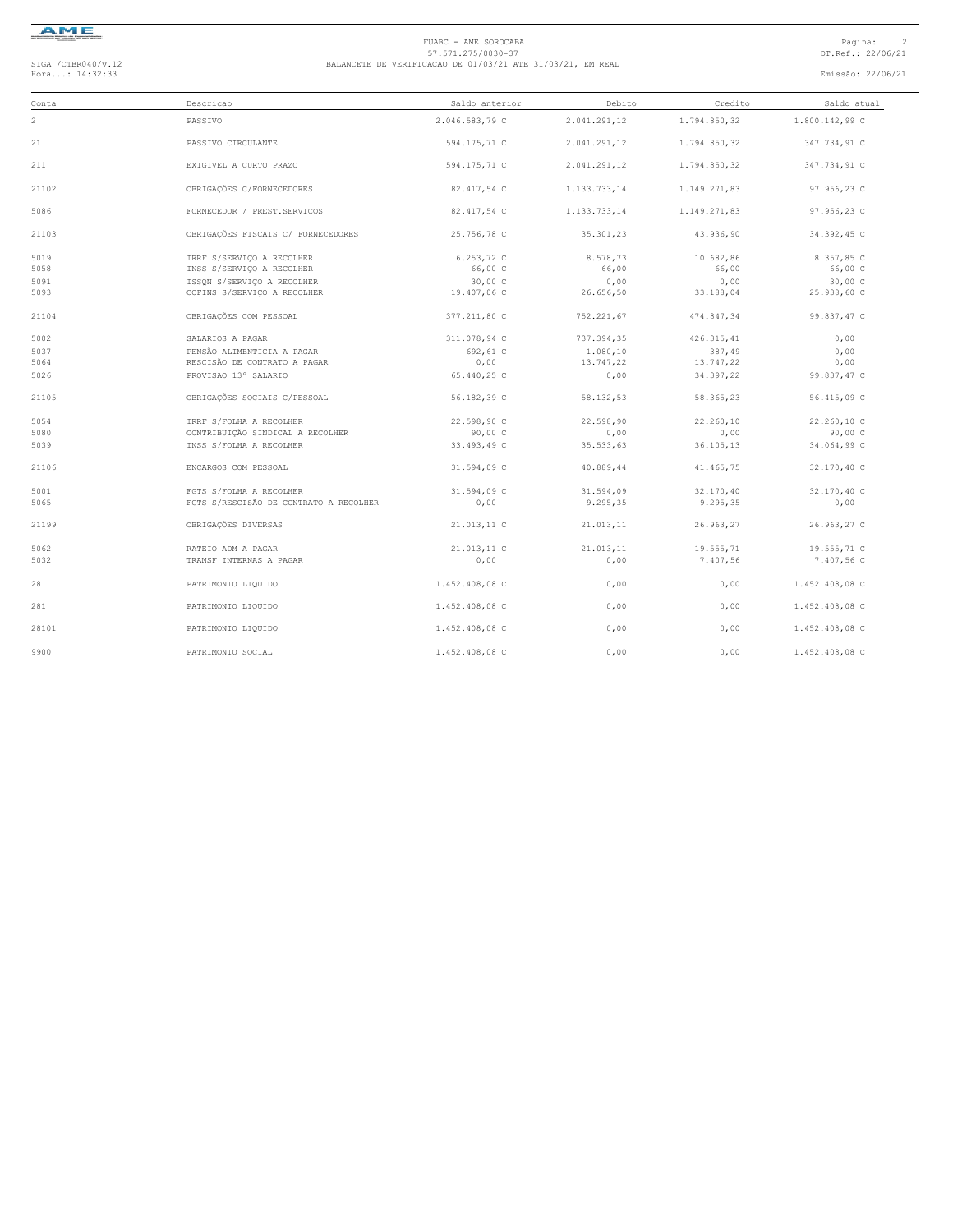

## FUABC - AME SOROCABA<br>57.571.275/0030-37<br>Hora...: 14:32:33 DT.Ref.: 22/06/21 BALANCETE DE VERIFICACAO DE 01/03/21 ATE 31/03/21, EM REAL<br>Hora...: 14:32:33 Emissão: 22/06/21

| Conta | Descricao                              | Saldo anterior | Debito       | Credito      | Saldo atual    |
|-------|----------------------------------------|----------------|--------------|--------------|----------------|
| 2     | PASSIVO                                | 2.046.583,79 C | 2.041.291.12 | 1.794.850.32 | 1.800.142,99 C |
| 21    | PASSIVO CIRCULANTE                     | 594.175,71 C   | 2.041.291,12 | 1.794.850,32 | 347.734,91 C   |
| 211   | EXIGIVEL A CURTO PRAZO                 | 594.175,71 C   | 2.041.291,12 | 1.794.850,32 | 347.734,91 C   |
| 21102 | OBRIGAÇÕES C/FORNECEDORES              | 82.417,54 C    | 1.133.733,14 | 1.149.271,83 | 97.956,23 C    |
| 5086  | FORNECEDOR / PREST. SERVICOS           | 82.417,54 C    | 1.133.733,14 | 1.149.271,83 | 97.956,23 C    |
| 21103 | OBRIGAÇÕES FISCAIS C/ FORNECEDORES     | 25.756,78 C    | 35.301,23    | 43.936,90    | 34.392,45 C    |
| 5019  | IRRF S/SERVICO A RECOLHER              | 6.253,72 C     | 8.578,73     | 10.682,86    | 8.357,85 C     |
| 5058  | INSS S/SERVIÇO A RECOLHER              | 66,00 C        | 66,00        | 66,00        | 66,00 C        |
| 5091  | ISSON S/SERVICO A RECOLHER             | 30,00 C        | 0,00         | 0,00         | 30,00 C        |
| 5093  | COFINS S/SERVICO A RECOLHER            | 19.407,06 C    | 26.656,50    | 33.188,04    | 25.938,60 C    |
| 21104 | OBRIGAÇÕES COM PESSOAL                 | 377.211,80 C   | 752.221,67   | 474.847,34   | 99.837,47 C    |
| 5002  | SALARIOS A PAGAR                       | 311.078,94 C   | 737.394,35   | 426.315,41   | 0,00           |
| 5037  | PENSÃO ALIMENTICIA A PAGAR             | 692,61 C       | 1.080,10     | 387,49       | 0,00           |
| 5064  | RESCISÃO DE CONTRATO A PAGAR           | 0,00           | 13.747,22    | 13.747,22    | 0,00           |
| 5026  | PROVISAO 13° SALARIO                   | 65.440,25 C    | 0,00         | 34.397,22    | 99.837,47 C    |
| 21105 | OBRIGAÇÕES SOCIAIS C/PESSOAL           | 56.182,39 C    | 58.132,53    | 58.365,23    | 56.415,09 C    |
| 5054  | IRRF S/FOLHA A RECOLHER                | 22.598,90 C    | 22.598,90    | 22.260,10    | 22.260,10 C    |
| 5080  | CONTRIBUIÇÃO SINDICAL A RECOLHER       | 90,00 C        | 0,00         | 0,00         | 90,00C         |
| 5039  | INSS S/FOLHA A RECOLHER                | 33.493,49 C    | 35.533,63    | 36.105,13    | 34.064,99 C    |
| 21106 | ENCARGOS COM PESSOAL                   | 31.594,09 C    | 40.889,44    | 41.465,75    | 32.170,40 C    |
| 5001  | FGTS S/FOLHA A RECOLHER                | 31.594,09 C    | 31.594,09    | 32.170,40    | 32.170,40 C    |
| 5065  | FGTS S/RESCISÃO DE CONTRATO A RECOLHER | 0,00           | 9.295,35     | 9.295,35     | 0,00           |
| 21199 | OBRIGAÇÕES DIVERSAS                    | 21.013.11 C    | 21.013,11    | 26.963,27    | 26.963,27 C    |
| 5062  | RATEIO ADM A PAGAR                     | 21.013,11 C    | 21.013,11    | 19.555,71    | 19.555,71 C    |
| 5032  | TRANSF INTERNAS A PAGAR                | 0,00           | 0,00         | 7.407,56     | 7.407,56 C     |
| 28    | PATRIMONIO LIQUIDO                     | 1.452.408,08 C | 0,00         | 0,00         | 1.452.408,08 C |
| 281   | PATRIMONIO LIQUIDO                     | 1.452.408,08 C | 0,00         | 0,00         | 1.452.408,08 C |
| 28101 | PATRIMONIO LIQUIDO                     | 1.452.408,08 C | 0,00         | 0,00         | 1.452.408,08 C |
| 9900  | PATRIMONIO SOCIAL                      | 1.452.408,08 C | 0,00         | 0,00         | 1.452.408,08 C |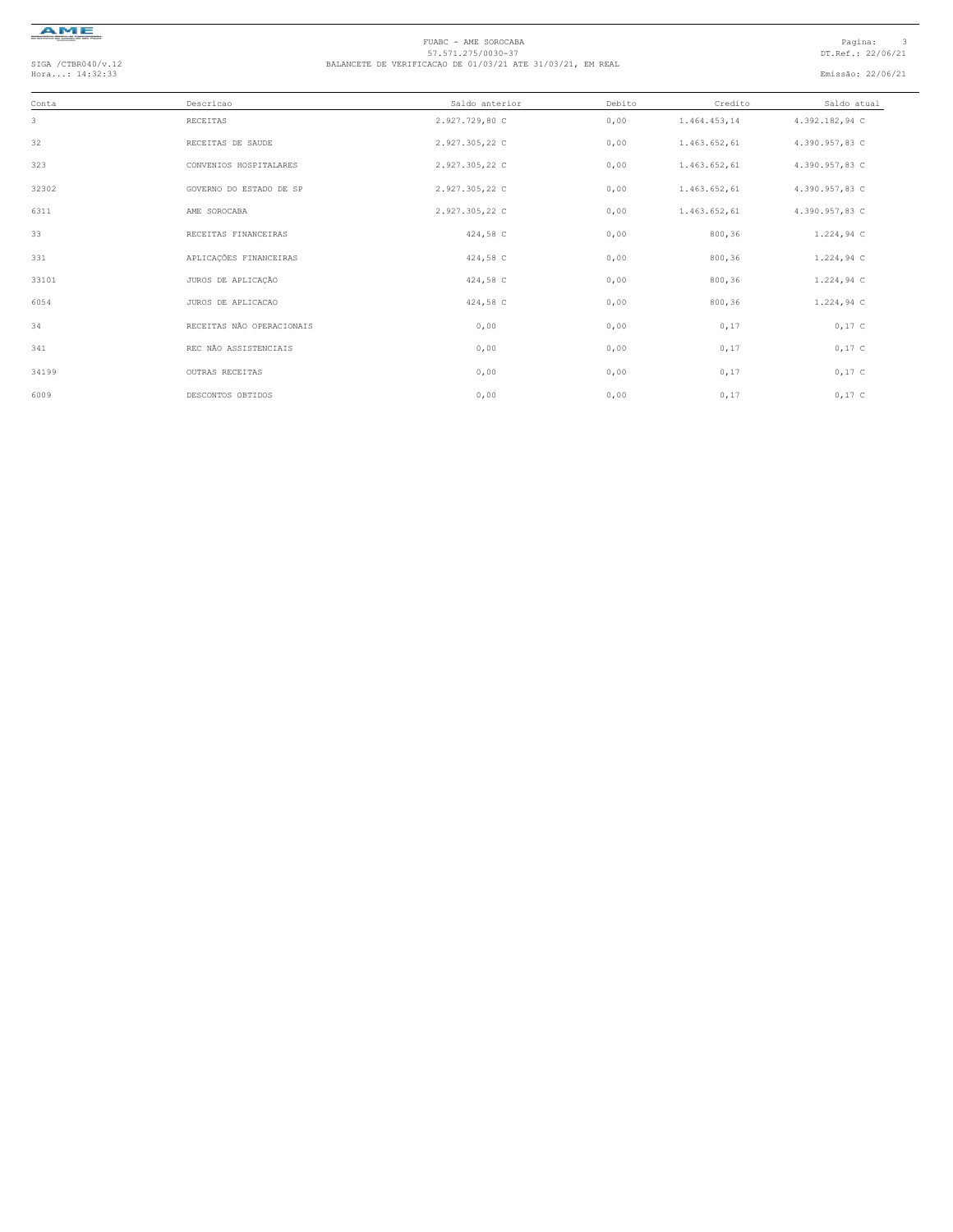

# FUABC - AME SOROCABA<br>57.571.275/0030-37<br>Hora...: 14:32:33 DT.Ref.: 22/06/21 BALANCETE DE VERIFICACAO DE 01/03/21 ATE 31/03/21, EM REAL<br>Hora...: 14:32:33 Emissão: 22/06/21

| Conta | Descricao                 | Saldo anterior | Debito | Credito      | Saldo atual    |
|-------|---------------------------|----------------|--------|--------------|----------------|
| 3     | RECEITAS                  | 2.927.729,80 C | 0,00   | 1.464.453,14 | 4.392.182,94 C |
| 32    | RECEITAS DE SAUDE         | 2.927.305,22 C | 0,00   | 1.463.652,61 | 4.390.957,83 C |
| 323   | CONVENIOS HOSPITALARES    | 2.927.305,22 C | 0,00   | 1.463.652,61 | 4.390.957,83 C |
| 32302 | GOVERNO DO ESTADO DE SP   | 2.927.305,22 C | 0,00   | 1.463.652,61 | 4.390.957,83 C |
| 6311  | AME SOROCABA              | 2.927.305,22 C | 0,00   | 1.463.652,61 | 4.390.957,83 C |
| 33    | RECEITAS FINANCEIRAS      | 424,58 C       | 0,00   | 800,36       | 1.224,94 C     |
| 331   | APLICAÇÕES FINANCEIRAS    | 424,58 C       | 0,00   | 800,36       | 1.224,94 C     |
| 33101 | JUROS DE APLICAÇÃO        | 424,58 C       | 0,00   | 800, 36      | 1.224,94C      |
| 6054  | JUROS DE APLICACAO        | 424,58 C       | 0,00   | 800,36       | 1.224,94 C     |
| 34    | RECEITAS NÃO OPERACIONAIS | 0,00           | 0,00   | 0,17         | $0,17$ C       |
| 341   | REC NÃO ASSISTENCIAIS     | 0,00           | 0,00   | 0,17         | $0,17$ C       |
| 34199 | OUTRAS RECEITAS           | 0,00           | 0,00   | 0,17         | $0,17$ C       |
| 6009  | DESCONTOS OBTIDOS         | 0,00           | 0,00   | 0,17         | $0,17$ C       |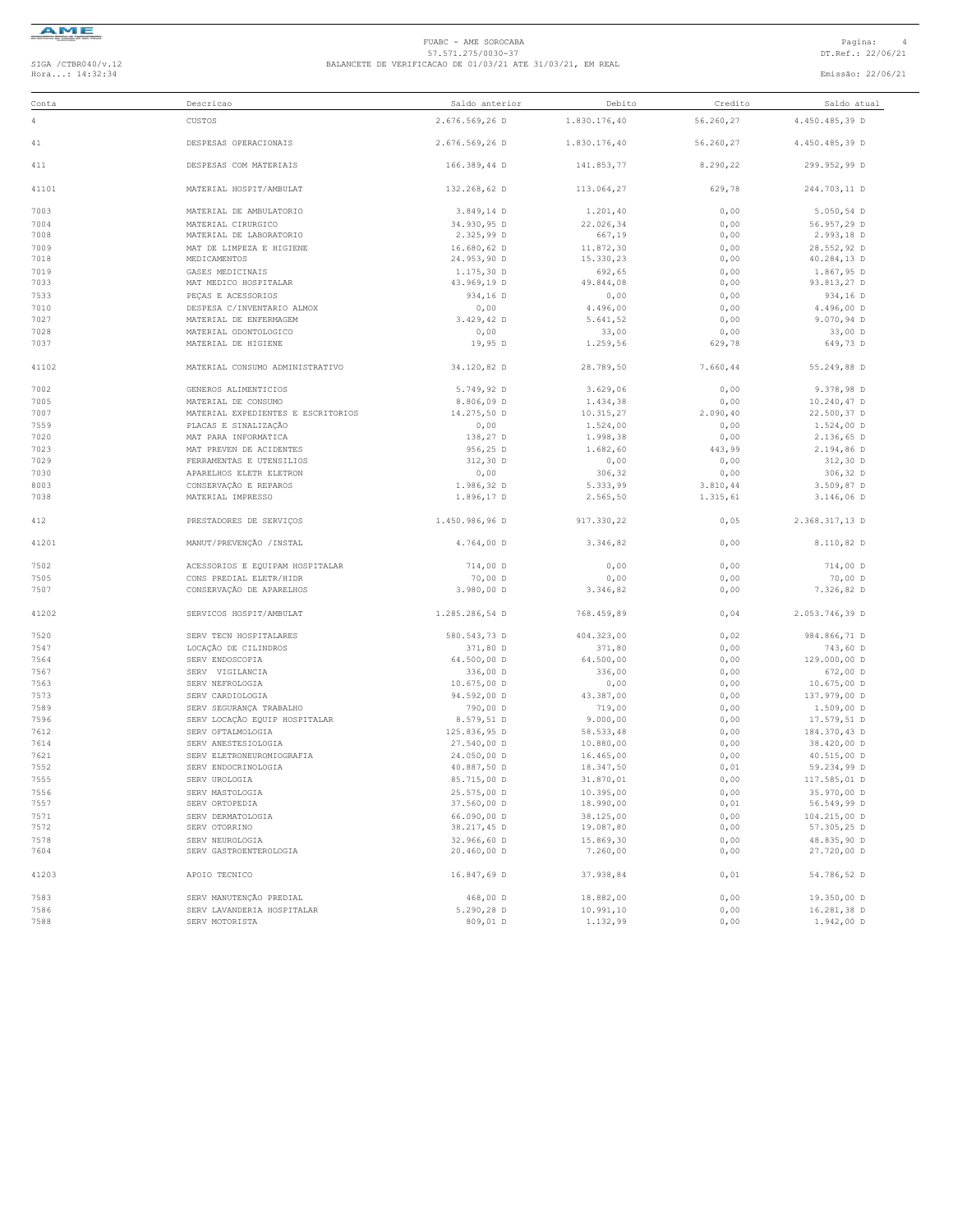

## FUABC - AME SOROCABA<br>57.571.275/0030-37<br>Hora...: 14:32:34 DT.Ref.: 22/06/21 BALANCETE DE VERIFICACAO DE 01/03/21 ATE 31/03/21, EM REAL<br>Hora...: 14:32:34 Emissão: 22/06/21

| Conta        | Descricao                                 | Saldo anterior             | Debito                | Credito      | Saldo atual    |
|--------------|-------------------------------------------|----------------------------|-----------------------|--------------|----------------|
| 4            | CUSTOS                                    | 2.676.569,26 D             | 1.830.176,40          | 56.260,27    | 4.450.485,39 D |
| 41           | DESPESAS OPERACIONAIS                     | 2.676.569,26 D             | 1.830.176,40          | 56.260,27    | 4.450.485,39 D |
| 411          | DESPESAS COM MATERIAIS                    | 166.389,44 D               | 141.853.77            | 8.290,22     | 299.952,99 D   |
| 41101        | MATERIAL HOSPIT/AMBULAT                   | 132.268,62 D               | 113.064,27            | 629,78       | 244.703.11 D   |
| 7003         | MATERIAL DE AMBULATORIO                   | $3.849, 14$ D              | 1.201, 40             | 0,00         | $5.050, 54$ D  |
| 7004         | MATERIAL CIRURGICO                        | 34.930,95 D                | 22.026,34             | 0,00         | 56.957,29 D    |
| 7008         | MATERIAL DE LABORATORIO                   | 2.325,99 D                 | 667,19                | 0,00         | 2.993,18 D     |
| 7009         | MAT DE LIMPEZA E HIGIENE                  | 16.680,62 D                | 11.872,30             | 0,00         | 28.552,92 D    |
| 7018         | MEDICAMENTOS                              | 24.953,90 D                | 15.330,23             | 0,00         | 40.284,13 D    |
| 7019         |                                           |                            |                       |              |                |
|              | GASES MEDICINAIS                          | $1.175, 30$ D              | 692,65                | 0,00         | 1.867,95 D     |
| 7033         | MAT MEDICO HOSPITALAR                     | 43.969,19 D                | 49.844,08             | 0,00         | 93.813,27 D    |
| 7533         | PEÇAS E ACESSORIOS                        | 934,16 D                   | 0,00                  | 0,00         | 934,16 D       |
| 7010         | DESPESA C/INVENTARIO ALMOX                | 0,00                       | 4.496,00              | 0,00         | 4.496,00 D     |
| 7027         | MATERIAL DE ENFERMAGEM                    | 3.429,42 D                 | 5.641,52              | 0,00         | 9.070,94 D     |
| 7028         | MATERIAL ODONTOLOGICO                     | 0,00                       | 33,00                 | 0,00         | $33,00$ D      |
| 7037         | MATERIAL DE HIGIENE                       | 19,95 D                    | 1.259,56              | 629,78       | 649,73 D       |
| 41102        | MATERIAL CONSUMO ADMINISTRATIVO           | 34.120,82 D                | 28.789,50             | 7.660,44     | 55.249,88 D    |
| 7002         | GENEROS ALIMENTICIOS                      | 5.749,92 D                 | 3.629,06              | 0,00         | 9.378,98 D     |
| 7005         | MATERIAL DE CONSUMO                       | 8.806,09 D                 | 1.434,38              | 0,00         | 10.240,47 D    |
| 7007         | MATERIAL EXPEDIENTES E ESCRITORIOS        | 14.275,50 D                | 10.315,27             | 2.090, 40    | 22.500,37 D    |
| 7559         | PLACAS E SINALIZAÇÃO                      | 0,00                       | 1.524,00              | 0,00         | 1.524,00 D     |
|              |                                           |                            |                       |              |                |
| 7020         | MAT PARA INFORMATICA                      | 138,27 D                   | 1.998,38              | 0,00         | 2.136,65 D     |
| 7023         | MAT PREVEN DE ACIDENTES                   | 956,25 D                   | 1,682,60              | 443,99       | 2.194,86 D     |
| 7029         | FERRAMENTAS E UTENSILIOS                  | $312,30$ D                 | 0,00                  | 0,00         | $312,30$ D     |
| 7030         | APARELHOS ELETR ELETRON                   | 0,00                       | 306,32                | 0,00         | 306,32 D       |
| 8003         | CONSERVAÇÃO E REPAROS                     | 1.986,32 D                 | 5.333,99              | 3.810,44     | 3.509,87 D     |
| 7038         | MATERIAL IMPRESSO                         | 1.896,17 D                 | 2.565,50              | 1.315,61     | 3.146,06 D     |
| 412          | PRESTADORES DE SERVIÇOS                   | 1.450.986,96 D             | 917.330,22            | 0,05         | 2.368.317,13 D |
| 41201        | MANUT/PREVENÇÃO / INSTAL                  | 4.764,00 D                 | 3.346,82              | 0,00         | 8.110,82 D     |
| 7502         | ACESSORIOS E EQUIPAM HOSPITALAR           | 714,00 D                   | 0,00                  | 0,00         | 714,00 D       |
| 7505         | CONS PREDIAL ELETR/HIDR                   | 70,00 D                    | 0,00                  | 0,00         | 70,00 D        |
| 7507         | CONSERVAÇÃO DE APARELHOS                  | 3.980,00 D                 | 3.346,82              | 0,00         | 7.326,82 D     |
| 41202        | SERVICOS HOSPIT/AMBULAT                   | 1.285.286,54 D             | 768.459,89            | 0,04         | 2.053.746,39 D |
| 7520         | SERV TECN HOSPITALARES                    | 580.543,73 D               | 404.323,00            | 0,02         | 984.866,71 D   |
| 7547         | LOCAÇÃO DE CILINDROS                      | 371,80 D                   | 371,80                | 0,00         | 743,60 D       |
| 7564         | SERV ENDOSCOPIA                           | 64.500,00 D                | 64.500,00             | 0,00         | 129.000,00 D   |
|              |                                           |                            |                       |              | 672,00 D       |
| 7567<br>7563 | SERV VIGILANCIA<br>SERV NEFROLOGIA        | 336,00 D<br>10.675,00 D    | 336,00                | 0,00<br>0,00 | 10.675,00 D    |
|              |                                           |                            | 0,00                  |              |                |
| 7573         | SERV CARDIOLOGIA                          | 94.592,00 D                | 43.387,00             | 0,00         | 137.979,00 D   |
| 7589         | SERV SEGURANÇA TRABALHO                   | 790,00 D                   | 719,00                | 0,00         | $1.509,00$ D   |
| 7596         | SERV LOCAÇÃO EQUIP HOSPITALAR             | 8.579,51 D                 | 9.000,00              | 0,00         | 17.579,51 D    |
| 7612         | SERV OFTALMOLOGIA                         | 125.836,95 D               | 58.533.48             | 0,00         | 184.370,43 D   |
| 7614         | SERV ANESTESIOLOGIA                       | 27.540,00 D                | 10.880,00             | 0,00         | 38.420,00 D    |
| 7621         | SERV ELETRONEUROMIOGRAFIA                 | 24.050,00 D                | 16.465,00             | 0,00         | 40.515,00 D    |
| 7552         | SERV ENDOCRINOLOGIA                       | 40.887,50 D                | 18.347,50             | 0,01         | 59.234,99 D    |
| 7555         | SERV UROLOGIA                             | 85.715,00 D                | 31.870,01             | 0,00         | 117.585,01 D   |
| 7556         | SERV MASTOLOGIA                           | 25.575,00 D                | 10.395,00             | 0,00         | 35.970,00 D    |
| 7557         | SERV ORTOPEDIA                            | 37.560,00 D                | 18.990,00             | 0,01         | 56.549,99 D    |
| 7571         | SERV DERMATOLOGIA                         | 66.090,00 D                | 38.125,00             | 0,00         | 104.215,00 D   |
| 7572         | SERV OTORRINO                             | 38.217,45 D                | 19.087,80             | 0,00         | 57.305,25 D    |
|              |                                           |                            |                       |              |                |
| 7578<br>7604 | SERV NEUROLOGIA<br>SERV GASTROENTEROLOGIA | 32.966,60 D<br>20.460,00 D | 15.869,30<br>7.260,00 | 0,00         | 48.835,90 D    |
|              |                                           |                            |                       | 0,00         | 27.720,00 D    |
| 41203        | APOIO TECNICO                             | 16.847,69 D                | 37.938,84             | 0,01         | 54.786,52 D    |
| 7583         | SERV MANUTENÇÃO PREDIAL                   | 468,00 D                   | 18.882,00             | 0,00         | 19.350,00 D    |
| 7586         | SERV LAVANDERIA HOSPITALAR                | 5.290,28 D                 | 10.991,10             | 0,00         | 16.281,38 D    |
| 7588         | SERV MOTORISTA                            | 809,01 D                   | 1.132,99              | 0,00         | 1.942,00 D     |